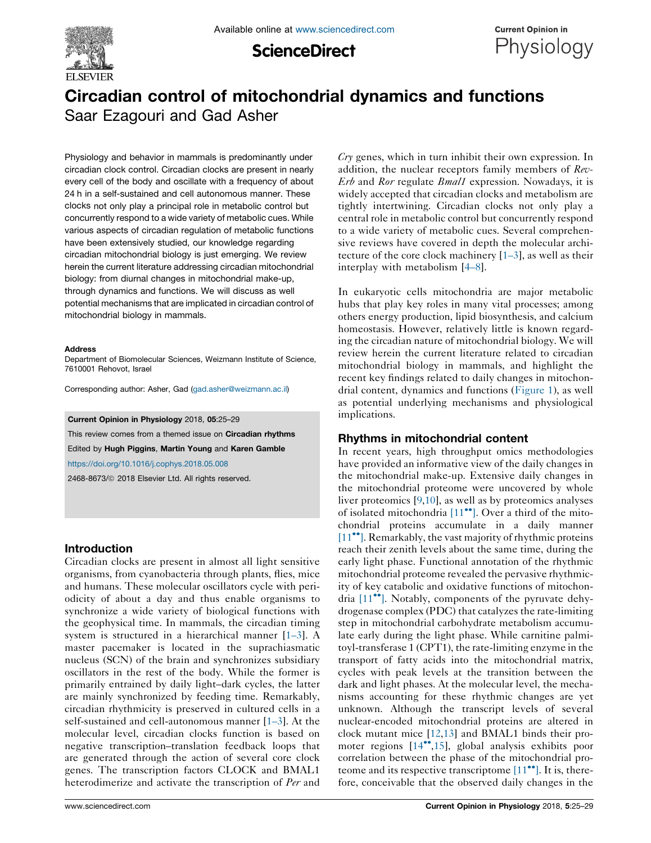

**ScienceDirect** 



# Circadian control of mitochondrial dynamics and functions Saar Ezagouri and Gad Asher

Physiology and behavior in mammals is predominantly under circadian clock control. Circadian clocks are present in nearly every cell of the body and oscillate with a frequency of about 24 h in a self-sustained and cell autonomous manner. These clocks not only play a principal role in metabolic control but concurrently respond to a wide variety of metabolic cues. While various aspects of circadian regulation of metabolic functions have been extensively studied, our knowledge regarding circadian mitochondrial biology is just emerging. We review herein the current literature addressing circadian mitochondrial biology: from diurnal changes in mitochondrial make-up, through dynamics and functions. We will discuss as well potential mechanisms that are implicated in circadian control of mitochondrial biology in mammals.

#### **Address**

Department of Biomolecular Sciences, Weizmann Institute of Science, 7610001 Rehovot, Israel

Corresponding author: Asher, Gad ([gad.asher@weizmann.ac.il](mailto:gad.asher@weizmann.ac.il))

Current Opinion in Physiology 2018, 05:25–29

This review comes from a themed issue on Circadian rhythms Edited by Hugh Piggins, Martin Young and Karen Gamble <https://doi.org/10.1016/j.cophys.2018.05.008>

2468-8673/ã 2018 Elsevier Ltd. All rights reserved.

### Introduction

Circadian clocks are present in almost all light sensitive organisms, from cyanobacteria through plants, flies, mice and humans. These molecular oscillators cycle with periodicity of about a day and thus enable organisms to synchronize a wide variety of biological functions with the geophysical time. In mammals, the circadian timing system is structured in a hierarchical manner [\[1–3](#page-3-0)]. A master pacemaker is located in the suprachiasmatic nucleus (SCN) of the brain and synchronizes subsidiary oscillators in the rest of the body. While the former is primarily entrained by daily light–dark cycles, the latter are mainly synchronized by feeding time. Remarkably, circadian rhythmicity is preserved in cultured cells in a self-sustained and cell-autonomous manner [\[1–3](#page-3-0)]. At the molecular level, circadian clocks function is based on negative transcription–translation feedback loops that are generated through the action of several core clock genes. The transcription factors CLOCK and BMAL1 heterodimerize and activate the transcription of Per and Cry genes, which in turn inhibit their own expression. In addition, the nuclear receptors family members of Rev-Erb and Ror regulate *Bmal1* expression. Nowadays, it is widely accepted that circadian clocks and metabolism are tightly intertwining. Circadian clocks not only play a central role in metabolic control but concurrently respond to a wide variety of metabolic cues. Several comprehensive reviews have covered in depth the molecular architecture of the core clock machinery  $[1-3]$ , as well as their interplay with metabolism [\[4–8](#page-3-0)].

In eukaryotic cells mitochondria are major metabolic hubs that play key roles in many vital processes; among others energy production, lipid biosynthesis, and calcium homeostasis. However, relatively little is known regarding the circadian nature of mitochondrial biology. We will review herein the current literature related to circadian mitochondrial biology in mammals, and highlight the recent key findings related to daily changes in mitochondrial content, dynamics and functions [\(Figure](#page-1-0) 1), as well as potential underlying mechanisms and physiological implications.

#### Rhythms in mitochondrial content

In recent years, high throughput omics methodologies have provided an informative view of the daily changes in the mitochondrial make-up. Extensive daily changes in the mitochondrial proteome were uncovered by whole liver proteomics [\[9](#page-3-0),[10\]](#page-4-0), as well as by proteomics analyses of isolated mitochondria  $[11\text{°}$  $[11\text{°}$ . Over a third of the mitochondrial proteins accumulate in a daily manner [\[11](#page-4-0)<sup>••</sup>]. Remarkably, the vast majority of rhythmic proteins reach their zenith levels about the same time, during the early light phase. Functional annotation of the rhythmic mitochondrial proteome revealed the pervasive rhythmicity of key catabolic and oxidative functions of mitochondria  $[11$ <sup> $\bullet$ </sup>]. Notably, components of the pyruvate dehydrogenase complex (PDC) that catalyzes the rate-limiting step in mitochondrial carbohydrate metabolism accumulate early during the light phase. While carnitine palmitoyl-transferase 1 (CPT1), the rate-limiting enzyme in the transport of fatty acids into the mitochondrial matrix, cycles with peak levels at the transition between the dark and light phases. At the molecular level, the mechanisms accounting for these rhythmic changes are yet unknown. Although the transcript levels of several nuclear-encoded mitochondrial proteins are altered in clock mutant mice [[12,13](#page-4-0)] and BMAL1 binds their promoter regions  $[14\degree, 15]$  $[14\degree, 15]$  $[14\degree, 15]$ , global analysis exhibits poor correlation between the phase of the mitochondrial proteome and its respective transcriptome  $[11\text{ }^{\bullet\bullet}]$  $[11\text{ }^{\bullet\bullet}]$ . It is, therefore, conceivable that the observed daily changes in the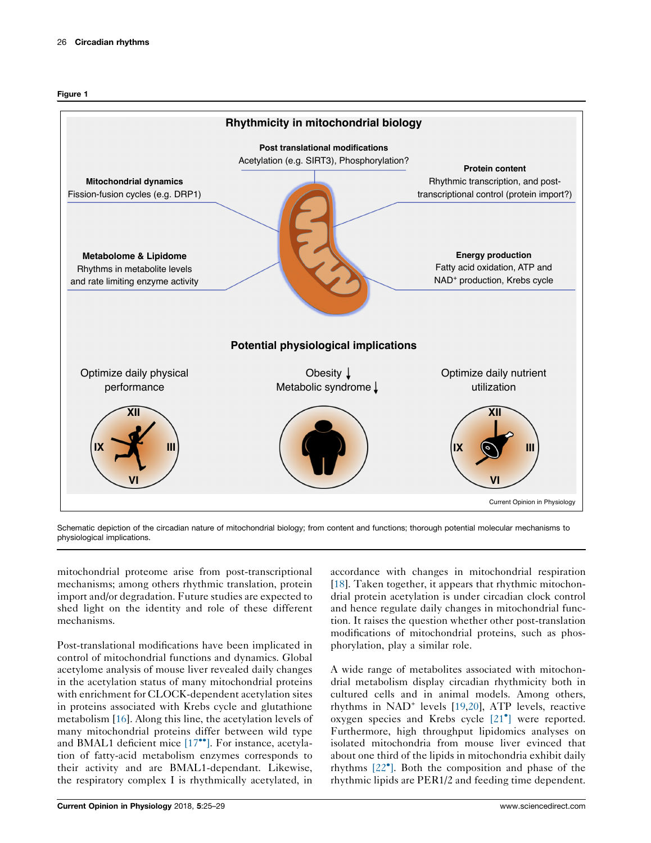<span id="page-1-0"></span>



Schematic depiction of the circadian nature of mitochondrial biology; from content and functions; thorough potential molecular mechanisms to physiological implications.

mitochondrial proteome arise from post-transcriptional mechanisms; among others rhythmic translation, protein import and/or degradation. Future studies are expected to shed light on the identity and role of these different mechanisms.

Post-translational modifications have been implicated in control of mitochondrial functions and dynamics. Global acetylome analysis of mouse liver revealed daily changes in the acetylation status of many mitochondrial proteins with enrichment for CLOCK-dependent acetylation sites in proteins associated with Krebs cycle and glutathione metabolism [\[16](#page-4-0)]. Along this line, the acetylation levels of many mitochondrial proteins differ between wild type and BMAL1 deficient mice  $[17\text{°}$  $[17\text{°}$ . For instance, acetylation of fatty-acid metabolism enzymes corresponds to their activity and are BMAL1-dependant. Likewise, the respiratory complex I is rhythmically acetylated, in

accordance with changes in mitochondrial respiration [\[18](#page-4-0)]. Taken together, it appears that rhythmic mitochondrial protein acetylation is under circadian clock control and hence regulate daily changes in mitochondrial function. It raises the question whether other post-translation modifications of mitochondrial proteins, such as phosphorylation, play a similar role.

A wide range of metabolites associated with mitochondrial metabolism display circadian rhythmicity both in cultured cells and in animal models. Among others, rhythms in  $NAD^+$  levels  $[19,20]$  $[19,20]$  $[19,20]$ , ATP levels, reactive oxygen species and Krebs cycle [\[21](#page-4-0) ] were reported. Furthermore, high throughput lipidomics analyses on isolated mitochondria from mouse liver evinced that about one third of the lipids in mitochondria exhibit daily rhythms [\[22](#page-4-0) ]. Both the composition and phase of the rhythmic lipids are PER1/2 and feeding time dependent.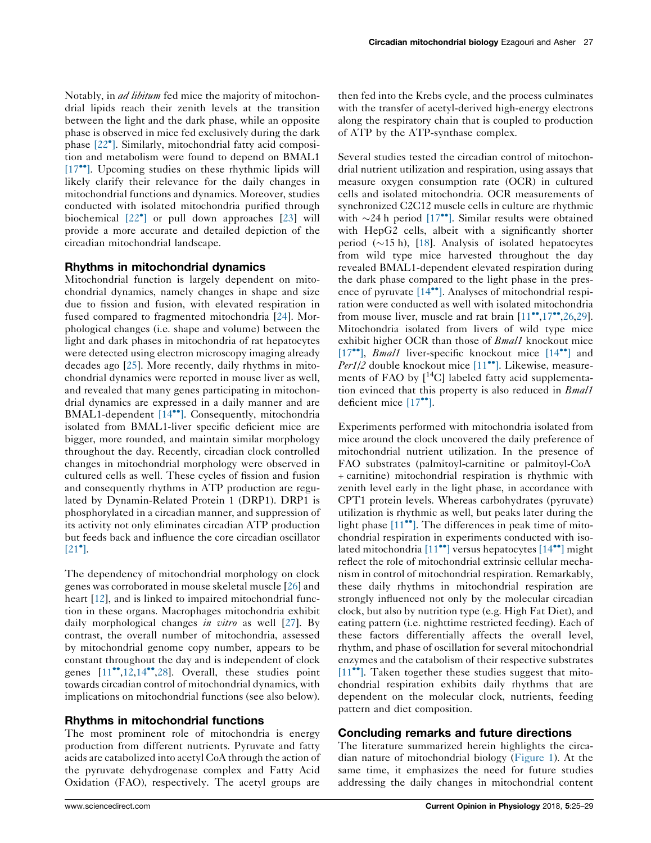Notably, in *ad libitum* fed mice the majority of mitochondrial lipids reach their zenith levels at the transition between the light and the dark phase, while an opposite phase is observed in mice fed exclusively during the dark phase [\[22](#page-4-0) ]. Similarly, mitochondrial fatty acid composition and metabolism were found to depend on BMAL1 [\[17](#page-4-0)<sup>\*\*</sup>]. Upcoming studies on these rhythmic lipids will likely clarify their relevance for the daily changes in mitochondrial functions and dynamics. Moreover, studies conducted with isolated mitochondria purified through biochemical [\[22](#page-4-0) ] or pull down approaches [\[23](#page-4-0)] will provide a more accurate and detailed depiction of the circadian mitochondrial landscape.

### Rhythms in mitochondrial dynamics

Mitochondrial function is largely dependent on mitochondrial dynamics, namely changes in shape and size due to fission and fusion, with elevated respiration in fused compared to fragmented mitochondria [[24\]](#page-4-0). Morphological changes (i.e. shape and volume) between the light and dark phases in mitochondria of rat hepatocytes were detected using electron microscopy imaging already decades ago [\[25](#page-4-0)]. More recently, daily rhythms in mitochondrial dynamics were reported in mouse liver as well, and revealed that many genes participating in mitochondrial dynamics are expressed in a daily manner and are BMAL1-dependent [\[14](#page-4-0)<sup>\*\*</sup>]. Consequently, mitochondria isolated from BMAL1-liver specific deficient mice are bigger, more rounded, and maintain similar morphology throughout the day. Recently, circadian clock controlled changes in mitochondrial morphology were observed in cultured cells as well. These cycles of fission and fusion and consequently rhythms in ATP production are regulated by Dynamin-Related Protein 1 (DRP1). DRP1 is phosphorylated in a circadian manner, and suppression of its activity not only eliminates circadian ATP production but feeds back and influence the core circadian oscillator  $[21^{\bullet}].$  $[21^{\bullet}].$ 

The dependency of mitochondrial morphology on clock genes was corroborated in mouse skeletal muscle [\[26](#page-4-0)] and heart [[12\]](#page-4-0), and is linked to impaired mitochondrial function in these organs. Macrophages mitochondria exhibit daily morphological changes *in vitro* as well [\[27](#page-4-0)]. By contrast, the overall number of mitochondria, assessed by mitochondrial genome copy number, appears to be constant throughout the day and is independent of clock genes  $[11^{\bullet}, 12, 14^{\bullet}, 28]$  $[11^{\bullet}, 12, 14^{\bullet}, 28]$  $[11^{\bullet}, 12, 14^{\bullet}, 28]$ . Overall, these studies point towards circadian control of mitochondrial dynamics, with implications on mitochondrial functions (see also below).

# Rhythms in mitochondrial functions

The most prominent role of mitochondria is energy production from different nutrients. Pyruvate and fatty acids are catabolized into acetyl CoA through the action of the pyruvate dehydrogenase complex and Fatty Acid Oxidation (FAO), respectively. The acetyl groups are

then fed into the Krebs cycle, and the process culminates with the transfer of acetyl-derived high-energy electrons along the respiratory chain that is coupled to production of ATP by the ATP-synthase complex.

Several studies tested the circadian control of mitochondrial nutrient utilization and respiration, using assays that measure oxygen consumption rate (OCR) in cultured cells and isolated mitochondria. OCR measurements of synchronized C2C12 muscle cells in culture are rhythmic with  $\sim$ 24 h period [\[17](#page-4-0)<sup>••</sup>]. Similar results were obtained with HepG2 cells, albeit with a significantly shorter period  $(\sim 15 \text{ h})$ , [\[18](#page-4-0)]. Analysis of isolated hepatocytes from wild type mice harvested throughout the day revealed BMAL1-dependent elevated respiration during the dark phase compared to the light phase in the presence of pyruvate  $[14\bullet]$  $[14\bullet]$ . Analyses of mitochondrial respiration were conducted as well with isolated mitochondria from mouse liver, muscle and rat brain  $[11\text{''},17\text{''},26,29]$  $[11\text{''},17\text{''},26,29]$  $[11\text{''},17\text{''},26,29]$  $[11\text{''},17\text{''},26,29]$  $[11\text{''},17\text{''},26,29]$  $[11\text{''},17\text{''},26,29]$  $[11\text{''},17\text{''},26,29]$ . Mitochondria isolated from livers of wild type mice exhibit higher OCR than those of *Bmal1* knockout mice [\[17](#page-4-0) $\cdot$ <sup>o</sup>], *Bmal1* liver-specific knockout mice [\[14](#page-4-0) $\cdot$ <sup>o</sup>] and Per1/2 double knockout mice [\[11](#page-4-0)<sup>••</sup>]. Likewise, measurements of FAO by [<sup>14</sup>C] labeled fatty acid supplementation evinced that this property is also reduced in *Bmal1* deficient mice  $[17$ <sup>\*\*</sup>].

Experiments performed with mitochondria isolated from mice around the clock uncovered the daily preference of mitochondrial nutrient utilization. In the presence of FAO substrates (palmitoyl-carnitine or palmitoyl-CoA + carnitine) mitochondrial respiration is rhythmic with zenith level early in the light phase, in accordance with CPT1 protein levels. Whereas carbohydrates (pyruvate) utilization is rhythmic as well, but peaks later during the light phase  $[11$ <sup> $\bullet$ </sup>. The differences in peak time of mitochondrial respiration in experiments conducted with isolated mitochondria  $[11\text{°}]$  $[11\text{°}]$  versus hepatocytes  $[14\text{°}]$  $[14\text{°}]$  might reflect the role of mitochondrial extrinsic cellular mechanism in control of mitochondrial respiration. Remarkably, these daily rhythms in mitochondrial respiration are strongly influenced not only by the molecular circadian clock, but also by nutrition type (e.g. High Fat Diet), and eating pattern (i.e. nighttime restricted feeding). Each of these factors differentially affects the overall level, rhythm, and phase of oscillation for several mitochondrial enzymes and the catabolism of their respective substrates  $[11$ <sup> $\bullet$ </sup>. Taken together these studies suggest that mitochondrial respiration exhibits daily rhythms that are dependent on the molecular clock, nutrients, feeding pattern and diet composition.

#### Concluding remarks and future directions

The literature summarized herein highlights the circadian nature of mitochondrial biology [\(Figure](#page-1-0) 1). At the same time, it emphasizes the need for future studies addressing the daily changes in mitochondrial content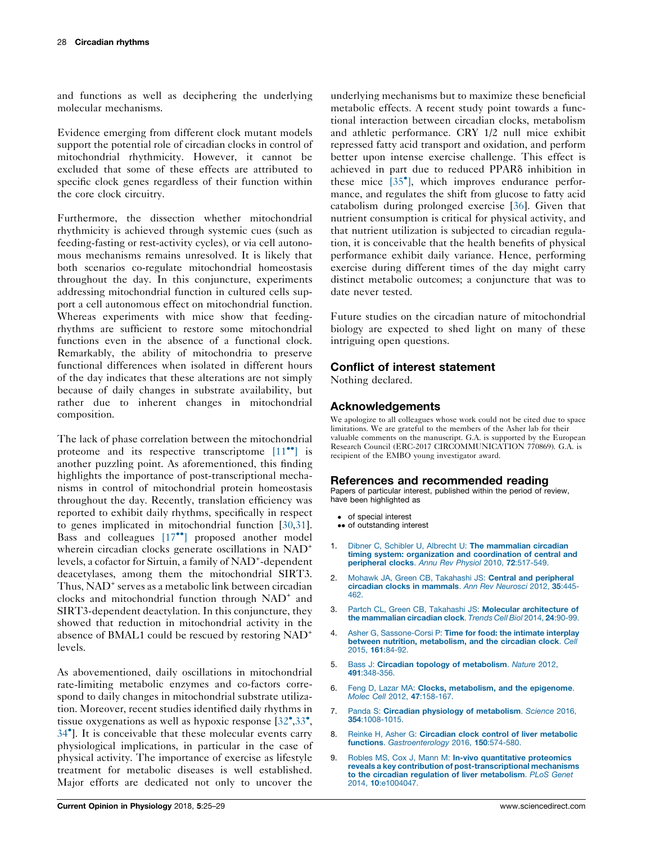<span id="page-3-0"></span>and functions as well as deciphering the underlying molecular mechanisms.

Evidence emerging from different clock mutant models support the potential role of circadian clocks in control of mitochondrial rhythmicity. However, it cannot be excluded that some of these effects are attributed to specific clock genes regardless of their function within the core clock circuitry.

Furthermore, the dissection whether mitochondrial rhythmicity is achieved through systemic cues (such as feeding-fasting or rest-activity cycles), or via cell autonomous mechanisms remains unresolved. It is likely that both scenarios co-regulate mitochondrial homeostasis throughout the day. In this conjuncture, experiments addressing mitochondrial function in cultured cells support a cell autonomous effect on mitochondrial function. Whereas experiments with mice show that feedingrhythms are sufficient to restore some mitochondrial functions even in the absence of a functional clock. Remarkably, the ability of mitochondria to preserve functional differences when isolated in different hours of the day indicates that these alterations are not simply because of daily changes in substrate availability, but rather due to inherent changes in mitochondrial composition.

The lack of phase correlation between the mitochondrial proteome and its respective transcriptome  $[11\text{°}]$  $[11\text{°}]$  is another puzzling point. As aforementioned, this finding highlights the importance of post-transcriptional mechanisms in control of mitochondrial protein homeostasis throughout the day. Recently, translation efficiency was reported to exhibit daily rhythms, specifically in respect to genes implicated in mitochondrial function [[30,31](#page-4-0)]. Bass and colleagues [\[17](#page-4-0)<sup>\*\*</sup>] proposed another model wherein circadian clocks generate oscillations in NAD<sup>+</sup> levels, a cofactor for Sirtuin, a family of NAD<sup>+</sup>-dependent deacetylases, among them the mitochondrial SIRT3. Thus, NAD<sup>+</sup> serves as a metabolic link between circadian clocks and mitochondrial function through NAD<sup>+</sup> and SIRT3-dependent deactylation. In this conjuncture, they showed that reduction in mitochondrial activity in the absence of BMAL1 could be rescued by restoring NAD+ levels.

As abovementioned, daily oscillations in mitochondrial rate-limiting metabolic enzymes and co-factors correspond to daily changes in mitochondrial substrate utilization. Moreover, recent studies identified daily rhythms in tissue oxygenations as well as hypoxic response  $[32^{\bullet}, 33^{\bullet},]$  $[32^{\bullet}, 33^{\bullet},]$  $[32^{\bullet}, 33^{\bullet},]$  $[32^{\bullet}, 33^{\bullet},]$  $[32^{\bullet}, 33^{\bullet},]$ 34 ]. It is [conceivable](#page-4-0) that these molecular events carry physiological implications, in particular in the case of physical activity. The importance of exercise as lifestyle treatment for metabolic diseases is well established. Major efforts are dedicated not only to uncover the

underlying mechanisms but to maximize these beneficial metabolic effects. A recent study point towards a functional interaction between circadian clocks, metabolism and athletic performance. CRY 1/2 null mice exhibit repressed fatty acid transport and oxidation, and perform better upon intense exercise challenge. This effect is achieved in part due to reduced PPAR<sub>0</sub> inhibition in these mice [\[35](#page-4-0) ], which improves endurance performance, and regulates the shift from glucose to fatty acid catabolism during prolonged exercise [\[36](#page-4-0)]. Given that nutrient consumption is critical for physical activity, and that nutrient utilization is subjected to circadian regulation, it is conceivable that the health benefits of physical performance exhibit daily variance. Hence, performing exercise during different times of the day might carry distinct metabolic outcomes; a conjuncture that was to date never tested.

Future studies on the circadian nature of mitochondrial biology are expected to shed light on many of these intriguing open questions.

# Conflict of interest statement

Nothing declared.

# Acknowledgements

We apologize to all colleagues whose work could not be cited due to space limitations. We are grateful to the members of the Asher lab for their valuable comments on the manuscript. G.A. is supported by the European Research Council (ERC-2017 CIRCOMMUNICATION 770869). G.A. is recipient of the EMBO young investigator award.

# References and recommended reading

Papers of particular interest, published within the period of review, have been highlighted as

- of special interest
- •• of outstanding interest
- 1. Dibner C, Schibler U, Albrecht U: The [mammalian](http://refhub.elsevier.com/S2468-8673(18)30080-4/sbref0005) circadian timing system: organization and [coordination](http://refhub.elsevier.com/S2468-8673(18)30080-4/sbref0005) of central and [peripheral](http://refhub.elsevier.com/S2468-8673(18)30080-4/sbref0005) clocks. Annu Rev Physiol 2010, 72:517-549.
- 2. Mohawk JA, Green CB, Takahashi JS: Central and [peripheral](http://refhub.elsevier.com/S2468-8673(18)30080-4/sbref0010) circadian clocks in [mammals](http://refhub.elsevier.com/S2468-8673(18)30080-4/sbref0010). Ann Rev Neurosci 2012, 35:445- [462.](http://refhub.elsevier.com/S2468-8673(18)30080-4/sbref0010)
- 3. Partch CL, Green CB, Takahashi JS: Molecular [architecture](http://refhub.elsevier.com/S2468-8673(18)30080-4/sbref0015) of the [mammalian](http://refhub.elsevier.com/S2468-8673(18)30080-4/sbref0015) circadian clock. Trends Cell Biol 2014, 24:90-99.
- 4. Asher G, [Sassone-Corsi](http://refhub.elsevier.com/S2468-8673(18)30080-4/sbref0020) P: Time for food: the intimate interplay between nutrition, [metabolism,](http://refhub.elsevier.com/S2468-8673(18)30080-4/sbref0020) and the circadian clock. Cell 2015, 161[:84-92.](http://refhub.elsevier.com/S2468-8673(18)30080-4/sbref0020)
- 5. Bass J: Circadian topology of [metabolism](http://refhub.elsevier.com/S2468-8673(18)30080-4/sbref0025). Nature 2012, 491[:348-356.](http://refhub.elsevier.com/S2468-8673(18)30080-4/sbref0025)
- 6. Feng D, Lazar MA: Clocks, [metabolism,](http://refhub.elsevier.com/S2468-8673(18)30080-4/sbref0030) and the epigenome. Molec Cell 2012, 47[:158-167.](http://refhub.elsevier.com/S2468-8673(18)30080-4/sbref0030)
- 7. Panda S: Circadian physiology of [metabolism](http://refhub.elsevier.com/S2468-8673(18)30080-4/sbref0035). Science 2016, 354[:1008-1015.](http://refhub.elsevier.com/S2468-8673(18)30080-4/sbref0035)
- 8. Reinke H. Asher G: Circadian clock control of liver [metabolic](http://refhub.elsevier.com/S2468-8673(18)30080-4/sbref0040) functions. [Gastroenterology](http://refhub.elsevier.com/S2468-8673(18)30080-4/sbref0040) 2016, 150:574-580.
- 9. Robles MS, Cox J, Mann M: In-vivo [quantitative](http://refhub.elsevier.com/S2468-8673(18)30080-4/sbref0045) proteomics reveals a key contribution of [post-transcriptional](http://refhub.elsevier.com/S2468-8673(18)30080-4/sbref0045) mechanisms to the circadian regulation of liver [metabolism](http://refhub.elsevier.com/S2468-8673(18)30080-4/sbref0045). PLoS Genet 2014, 10[:e1004047.](http://refhub.elsevier.com/S2468-8673(18)30080-4/sbref0045)